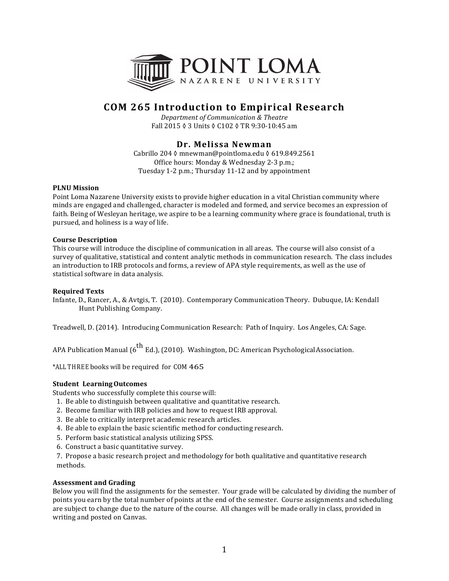

# **COM 265 Introduction to Empirical Research**

*Department of Communication & Theatre* Fall 2015 ♦ 3 Units ♦ C102 ♦ TR 9:30-10:45 am

# **Dr. Melissa Newman**

Cabrillo 204 0 mnewman@pointloma.edu 0 619.849.2561 Office hours: Monday & Wednesday 2-3 p.m.; Tuesday 1-2 p.m.: Thursday 11-12 and by appointment

# **PLNU** Mission

Point Loma Nazarene University exists to provide higher education in a vital Christian community where minds are engaged and challenged, character is modeled and formed, and service becomes an expression of faith. Being of Wesleyan heritage, we aspire to be a learning community where grace is foundational, truth is pursued, and holiness is a way of life.

# **Course Description**

This course will introduce the discipline of communication in all areas. The course will also consist of a survey of qualitative, statistical and content analytic methods in communication research. The class includes an introduction to IRB protocols and forms, a review of APA style requirements, as well as the use of statistical software in data analysis.

# **Required Texts**

Infante, D., Rancer, A., & Avtgis, T. (2010). Contemporary Communication Theory. Dubuque, IA: Kendall Hunt Publishing Company.

Treadwell, D. (2014). Introducing Communication Research: Path of Inquiry. Los Angeles, CA: Sage.

APA Publication Manual  $\left(6^{th}$  Ed.), (2010). Washington, DC: American PsychologicalAssociation.

\*ALL THREE books will be required for COM 465

# **Student LearningOutcomes**

Students who successfully complete this course will:

- 1. Be able to distinguish between qualitative and quantitative research.
- 2. Become familiar with IRB policies and how to request IRB approval.
- 3. Be able to critically interpret academic research articles.
- 4. Be able to explain the basic scientific method for conducting research.
- 5. Perform basic statistical analysis utilizing SPSS.
- 6. Construct a basic quantitative survey.

7. Propose a basic research project and methodology for both qualitative and quantitative research methods.

#### **Assessment and Grading**

Below you will find the assignments for the semester. Your grade will be calculated by dividing the number of points you earn by the total number of points at the end of the semester. Course assignments and scheduling are subject to change due to the nature of the course. All changes will be made orally in class, provided in writing and posted on Canvas.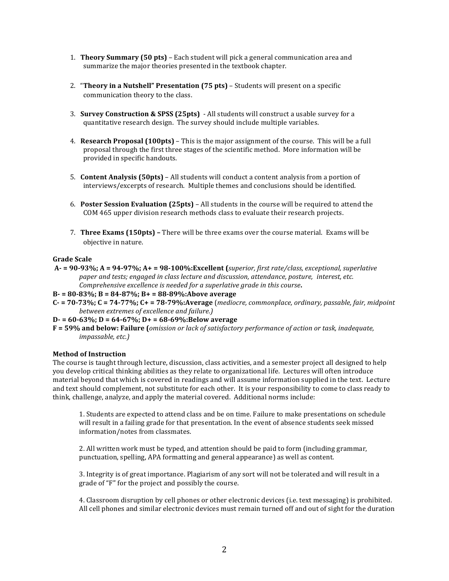- 1. **Theory Summary (50 pts)** Each student will pick a general communication area and summarize the major theories presented in the textbook chapter.
- 2. **"Theory in a Nutshell" Presentation (75 pts)** Students will present on a specific communication theory to the class.
- 3. **Survey Construction & SPSS (25pts)** All students will construct a usable survey for a quantitative research design. The survey should include multiple variables.
- 4. **Research Proposal (100pts)** This is the major assignment of the course. This will be a full proposal through the first three stages of the scientific method. More information will be provided in specific handouts.
- 5. **Content Analysis (50pts)** All students will conduct a content analysis from a portion of interviews/excerpts of research. Multiple themes and conclusions should be identified.
- 6. **Poster Session Evaluation (25pts)** All students in the course will be required to attend the COM 465 upper division research methods class to evaluate their research projects.
- 7. **Three Exams (150pts)** There will be three exams over the course material. Exams will be objective in nature.

# **Grade Scale**

- $A 90-93\%$ ;  $A = 94-97\%$ ;  $A + 98-100\%$ : Excellent (superior, first rate/class, exceptional, superlative *paper and tests; engaged in class lecture and discussion, attendance, posture, interest, etc. Comprehensive excellence is needed for a superlative grade in this course.*
- **B- = 80-83%; B = 84-87%; B+ = 88-89%:Above average**
- **C- = 70-73%; C = 74-77%; C+ = 78-79%:Average** (*mediocre, commonplace, ordinary, passable, fair, midpoint between extremes of excellence and failure.)*
- $D = 60-63\%$ ;  $D = 64-67\%$ ;  $D = 68-69\%$ : Below average
- **F** = 59% and below: Failure (*omission or lack of satisfactory performance of action or task, inadequate, impassable, etc.)*

# **Method of Instruction**

The course is taught through lecture, discussion, class activities, and a semester project all designed to help you develop critical thinking abilities as they relate to organizational life. Lectures will often introduce material beyond that which is covered in readings and will assume information supplied in the text. Lecture and text should complement, not substitute for each other. It is your responsibility to come to class ready to think, challenge, analyze, and apply the material covered. Additional norms include:

1. Students are expected to attend class and be on time. Failure to make presentations on schedule will result in a failing grade for that presentation. In the event of absence students seek missed information/notes from classmates.

2. All written work must be typed, and attention should be paid to form (including grammar, punctuation, spelling, APA formatting and general appearance) as well as content.

3. Integrity is of great importance. Plagiarism of any sort will not be tolerated and will result in a grade of "F" for the project and possibly the course.

4. Classroom disruption by cell phones or other electronic devices (i.e. text messaging) is prohibited. All cell phones and similar electronic devices must remain turned off and out of sight for the duration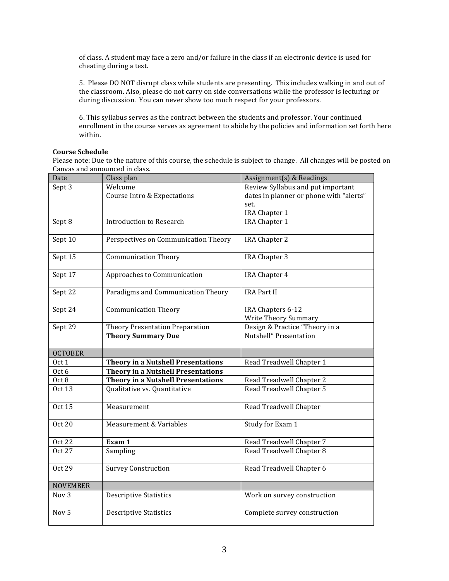of class. A student may face a zero and/or failure in the class if an electronic device is used for cheating during a test.

5. Please DO NOT disrupt class while students are presenting. This includes walking in and out of the classroom. Also, please do not carry on side conversations while the professor is lecturing or during discussion. You can never show too much respect for your professors.

6. This syllabus serves as the contract between the students and professor. Your continued enrollment in the course serves as agreement to abide by the policies and information set forth here within.

# **Course Schedule**

Please note: Due to the nature of this course, the schedule is subject to change. All changes will be posted on Canvas and announced in class.

| Date                    | Class plan                                                                | Assignment(s) & Readings                             |
|-------------------------|---------------------------------------------------------------------------|------------------------------------------------------|
| Sept 3                  | Welcome                                                                   | Review Syllabus and put important                    |
|                         | Course Intro & Expectations                                               | dates in planner or phone with "alerts"              |
|                         |                                                                           | set.                                                 |
|                         |                                                                           | IRA Chapter 1                                        |
| Sept 8                  | <b>Introduction to Research</b>                                           | IRA Chapter 1                                        |
| Sept 10                 | Perspectives on Communication Theory                                      | <b>IRA Chapter 2</b>                                 |
| Sept 15                 | <b>Communication Theory</b>                                               | IRA Chapter 3                                        |
| Sept 17                 | Approaches to Communication                                               | IRA Chapter 4                                        |
| Sept 22                 | Paradigms and Communication Theory                                        | <b>IRA Part II</b>                                   |
| Sept 24                 | <b>Communication Theory</b>                                               | IRA Chapters 6-12                                    |
|                         |                                                                           | Write Theory Summary                                 |
| Sept 29                 | Theory Presentation Preparation                                           | Design & Practice "Theory in a                       |
|                         | <b>Theory Summary Due</b>                                                 | Nutshell" Presentation                               |
| <b>OCTOBER</b>          |                                                                           |                                                      |
|                         |                                                                           |                                                      |
|                         |                                                                           |                                                      |
| Oct 1                   | <b>Theory in a Nutshell Presentations</b>                                 | Read Treadwell Chapter 1                             |
| Oct 6                   | <b>Theory in a Nutshell Presentations</b>                                 |                                                      |
| Oct 8<br><b>Oct 13</b>  | <b>Theory in a Nutshell Presentations</b><br>Qualitative vs. Quantitative | Read Treadwell Chapter 2<br>Read Treadwell Chapter 5 |
| <b>Oct 15</b>           | Measurement                                                               | Read Treadwell Chapter                               |
|                         |                                                                           |                                                      |
| <b>Oct 20</b>           | Measurement & Variables                                                   | Study for Exam 1                                     |
|                         |                                                                           |                                                      |
| <b>Oct 22</b><br>Oct 27 | Exam 1                                                                    | Read Treadwell Chapter 7                             |
|                         | Sampling                                                                  | Read Treadwell Chapter 8                             |
| <b>Oct 29</b>           | <b>Survey Construction</b>                                                | Read Treadwell Chapter 6                             |
| <b>NOVEMBER</b>         |                                                                           |                                                      |
| Nov <sub>3</sub>        | <b>Descriptive Statistics</b>                                             | Work on survey construction                          |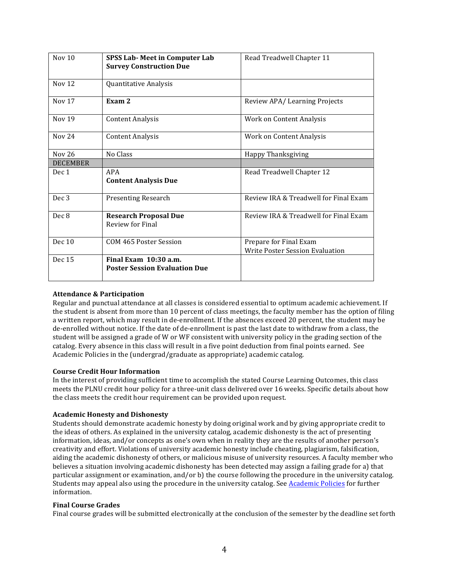| Nov <sub>10</sub> | <b>SPSS Lab-Meet in Computer Lab</b><br><b>Survey Construction Due</b> | Read Treadwell Chapter 11                                        |
|-------------------|------------------------------------------------------------------------|------------------------------------------------------------------|
| <b>Nov 12</b>     | Quantitative Analysis                                                  |                                                                  |
| Nov $17$          | Exam 2                                                                 | Review APA/Learning Projects                                     |
| Nov 19            | <b>Content Analysis</b>                                                | Work on Content Analysis                                         |
| <b>Nov 24</b>     | <b>Content Analysis</b>                                                | Work on Content Analysis                                         |
| Nov 26            | No Class                                                               | Happy Thanksgiving                                               |
| <b>DECEMBER</b>   |                                                                        |                                                                  |
| Dec 1             | APA<br><b>Content Analysis Due</b>                                     | Read Treadwell Chapter 12                                        |
| Dec <sub>3</sub>  | <b>Presenting Research</b>                                             | Review IRA & Treadwell for Final Exam                            |
| Dec 8             | <b>Research Proposal Due</b><br>Review for Final                       | Review IRA & Treadwell for Final Exam                            |
| Dec $10$          | COM 465 Poster Session                                                 | Prepare for Final Exam<br><b>Write Poster Session Evaluation</b> |
| Dec 15            | Final Exam 10:30 a.m.<br><b>Poster Session Evaluation Due</b>          |                                                                  |

# **Attendance & Participation**

Regular and punctual attendance at all classes is considered essential to optimum academic achievement. If the student is absent from more than 10 percent of class meetings, the faculty member has the option of filing a written report, which may result in de-enrollment. If the absences exceed 20 percent, the student may be de-enrolled without notice. If the date of de-enrollment is past the last date to withdraw from a class, the student will be assigned a grade of W or WF consistent with university policy in the grading section of the catalog. Every absence in this class will result in a five point deduction from final points earned. See Academic Policies in the (undergrad/graduate as appropriate) academic catalog.

# **Course Credit Hour Information**

In the interest of providing sufficient time to accomplish the stated Course Learning Outcomes, this class meets the PLNU credit hour policy for a three-unit class delivered over 16 weeks. Specific details about how the class meets the credit hour requirement can be provided upon request.

# **Academic Honesty and Dishonesty**

Students should demonstrate academic honesty by doing original work and by giving appropriate credit to the ideas of others. As explained in the university catalog, academic dishonesty is the act of presenting information, ideas, and/or concepts as one's own when in reality they are the results of another person's creativity and effort. Violations of university academic honesty include cheating, plagiarism, falsification, aiding the academic dishonesty of others, or malicious misuse of university resources. A faculty member who believes a situation involving academic dishonesty has been detected may assign a failing grade for a) that particular assignment or examination, and/or b) the course following the procedure in the university catalog. Students may appeal also using the procedure in the university catalog. See Academic Policies for further information.

# **Final Course Grades**

Final course grades will be submitted electronically at the conclusion of the semester by the deadline set forth